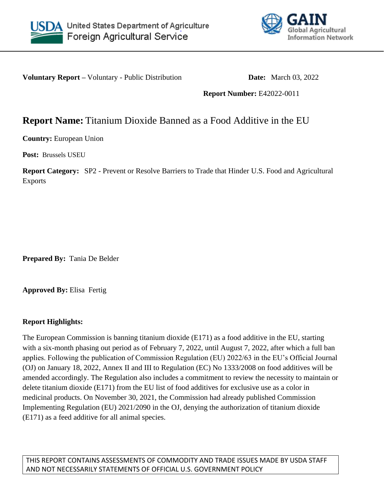



**Voluntary Report –** Voluntary - Public Distribution **Date:** March 03, 2022

**Report Number:** E42022-0011

# **Report Name:** Titanium Dioxide Banned as a Food Additive in the EU

**Country:** European Union

**Post:** Brussels USEU

**Report Category:** SP2 - Prevent or Resolve Barriers to Trade that Hinder U.S. Food and Agricultural Exports

**Prepared By:** Tania De Belder

**Approved By:** Elisa Fertig

# **Report Highlights:**

The European Commission is banning titanium dioxide (E171) as a food additive in the EU, starting with a six-month phasing out period as of February 7, 2022, until August 7, 2022, after which a full ban applies. Following the publication of Commission Regulation (EU) 2022/63 in the EU's Official Journal (OJ) on January 18, 2022, Annex II and III to Regulation (EC) No 1333/2008 on food additives will be amended accordingly. The Regulation also includes a commitment to review the necessity to maintain or delete titanium dioxide (E171) from the EU list of food additives for exclusive use as a color in medicinal products. On November 30, 2021, the Commission had already published Commission Implementing Regulation (EU) 2021/2090 in the OJ, denying the authorization of titanium dioxide (E171) as a feed additive for all animal species.

THIS REPORT CONTAINS ASSESSMENTS OF COMMODITY AND TRADE ISSUES MADE BY USDA STAFF AND NOT NECESSARILY STATEMENTS OF OFFICIAL U.S. GOVERNMENT POLICY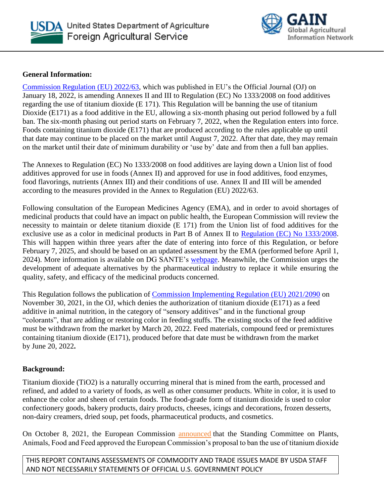



### **General Information:**

[Commission Regulation \(EU\) 2022/63,](https://eur-lex.europa.eu/legal-content/EN/TXT/?uri=uriserv%3AOJ.L_.2022.011.01.0001.01.ENG&toc=OJ%3AL%3A2022%3A011%3ATOC) which was published in EU's the Official Journal (OJ) on January 18, 2022, is amending Annexes II and III to Regulation (EC) No 1333/2008 on food additives regarding the use of titanium dioxide (E 171). This Regulation will be banning the use of titanium Dioxide (E171) as a food additive in the EU, allowing a six-month phasing out period followed by a full ban. The six-month phasing out period starts on February 7, 2022, when the Regulation enters into force. Foods containing titanium dioxide (E171) that are produced according to the rules applicable up until that date may continue to be placed on the market until August 7, 2022. After that date, they may remain on the market until their date of minimum durability or 'use by' date and from then a full ban applies.

The Annexes to Regulation (EC) No 1333/2008 on food additives are laying down a Union list of food additives approved for use in foods (Annex II) and approved for use in food additives, food enzymes, food flavorings, nutrients (Annex III) and their conditions of use. Annex II and III will be amended according to the measures provided in the Annex to Regulation (EU) 2022/63.

Following consultation of the European Medicines Agency (EMA), and in order to avoid shortages of medicinal products that could have an impact on public health, the European Commission will review the necessity to maintain or delete titanium dioxide (E 171) from the Union list of food additives for the exclusive use as a color in medicinal products in Part B of Annex II to [Regulation \(EC\) No 1333/2008.](https://eur-lex.europa.eu/legal-content/EN/TXT/?uri=CELEX%3A02008R1333-20210808&qid=1643383391069) This will happen within three years after the date of entering into force of this Regulation, or before February 7, 2025, and should be based on an updated assessment by the EMA (performed before April 1, 2024). More information is available on DG SANTE's [webpage.](https://ec.europa.eu/food/safety/food-improvement-agents/additives/re-evaluation_en#ecl-inpage-779) Meanwhile, the Commission urges the development of adequate alternatives by the pharmaceutical industry to replace it while ensuring the quality, safety, and efficacy of the medicinal products concerned.

This Regulation follows the publication of [Commission Implementing Regulation \(EU\) 2021/2090](https://eur-lex.europa.eu/legal-content/EN/TXT/?uri=CELEX%3A32021R2090) on November 30, 2021, in the OJ, which denies the authorization of titanium dioxide (E171) as a feed additive in animal nutrition, in the category of "sensory additives" and in the functional group "colorants", that are adding or restoring color in feeding stuffs. The existing stocks of the feed additive must be withdrawn from the market by March 20, 2022. Feed materials, compound feed or premixtures containing titanium dioxide (E171), produced before that date must be withdrawn from the market by June 20, 2022**.**

# **Background:**

Titanium dioxide (TiO2) is a naturally occurring mineral that is mined from the earth, processed and refined, and added to a variety of foods, as well as other consumer products. White in color, it is used to enhance the color and sheen of certain foods. The food-grade form of titanium dioxide is used to color confectionery goods, bakery products, dairy products, cheeses, icings and decorations, frozen desserts, non-dairy creamers, dried soup, pet foods, pharmaceutical products, and cosmetics.

On October 8, 2021, the European Commission [announced](https://ec.europa.eu/commission/presscorner/detail/en/MEX_21_5165) that the Standing Committee on Plants, Animals, Food and Feed approved the European Commission's proposal to ban the use of titanium dioxide

THIS REPORT CONTAINS ASSESSMENTS OF COMMODITY AND TRADE ISSUES MADE BY USDA STAFF AND NOT NECESSARILY STATEMENTS OF OFFICIAL U.S. GOVERNMENT POLICY